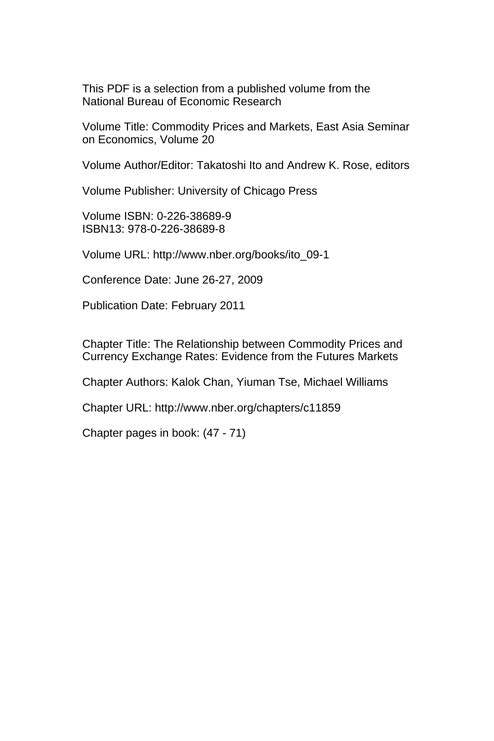This PDF is a selection from a published volume from the National Bureau of Economic Research

Volume Title: Commodity Prices and Markets, East Asia Seminar on Economics, Volume 20

Volume Author/Editor: Takatoshi Ito and Andrew K. Rose, editors

Volume Publisher: University of Chicago Press

Volume ISBN: 0-226-38689-9 ISBN13: 978-0-226-38689-8

Volume URL: http://www.nber.org/books/ito\_09-1

Conference Date: June 26-27, 2009

Publication Date: February 2011

Chapter Title: The Relationship between Commodity Prices and Currency Exchange Rates: Evidence from the Futures Markets

Chapter Authors: Kalok Chan, Yiuman Tse, Michael Williams

Chapter URL: http://www.nber.org/chapters/c11859

Chapter pages in book: (47 - 71)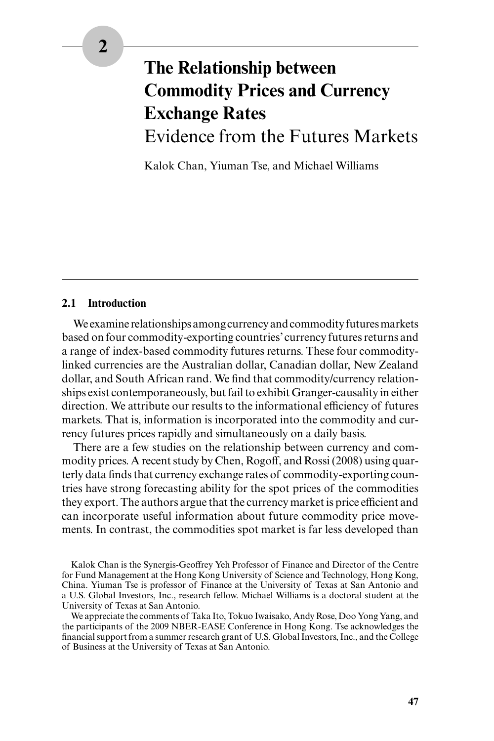# **The Relationship between Commodity Prices and Currency Exchange Rates** Evidence from the Futures Markets

Kalok Chan, Yiuman Tse, and Michael Williams

#### **2.1 Introduction**

We examine relationships among currency and commodity futures markets based on four commodity-exporting countries' currency futures returns and a range of index- based commodity futures returns. These four commodity linked currencies are the Australian dollar, Canadian dollar, New Zealand dollar, and South African rand. We find that commodity/currency relationships exist contemporaneously, but fail to exhibit Granger- causality in either direction. We attribute our results to the informational efficiency of futures markets. That is, information is incorporated into the commodity and currency futures prices rapidly and simultaneously on a daily basis.

There are a few studies on the relationship between currency and commodity prices. A recent study by Chen, Rogoff, and Rossi (2008) using quarterly data finds that currency exchange rates of commodity-exporting countries have strong forecasting ability for the spot prices of the commodities they export. The authors argue that the currency market is price efficient and can incorporate useful information about future commodity price movements. In contrast, the commodities spot market is far less developed than

Kalok Chan is the Synergis- Geoffrey Yeh Professor of Finance and Director of the Centre for Fund Management at the Hong Kong University of Science and Technology, Hong Kong, China. Yiuman Tse is professor of Finance at the University of Texas at San Antonio and a U.S. Global Investors, Inc., research fellow. Michael Williams is a doctoral student at the University of Texas at San Antonio.

We appreciate the comments of Taka Ito, Tokuo Iwaisako, Andy Rose, Doo Yong Yang, and the participants of the 2009 NBER- EASE Conference in Hong Kong. Tse acknowledges the financial support from a summer research grant of U.S. Global Investors, Inc., and the College of Business at the University of Texas at San Antonio.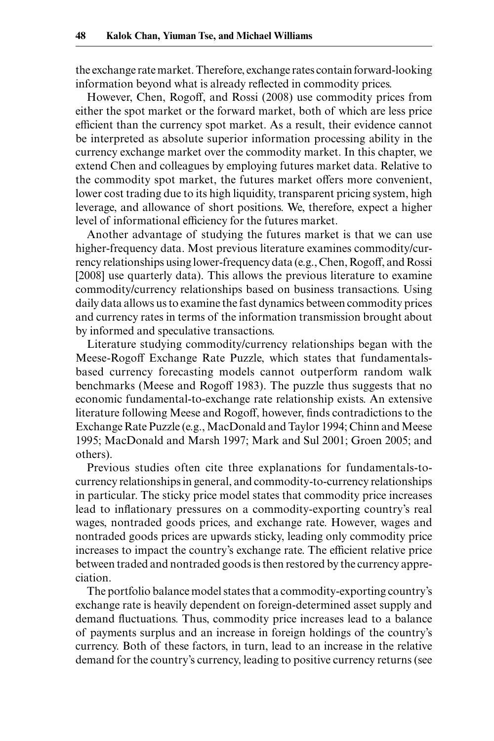the exchange rate market. Therefore, exchange rates contain forward- looking information beyond what is already reflected in commodity prices.

However, Chen, Rogoff, and Rossi (2008) use commodity prices from either the spot market or the forward market, both of which are less price efficient than the currency spot market. As a result, their evidence cannot be interpreted as absolute superior information processing ability in the currency exchange market over the commodity market. In this chapter, we extend Chen and colleagues by employing futures market data. Relative to the commodity spot market, the futures market offers more convenient, lower cost trading due to its high liquidity, transparent pricing system, high leverage, and allowance of short positions. We, therefore, expect a higher level of informational efficiency for the futures market.

Another advantage of studying the futures market is that we can use higher- frequency data. Most previous literature examines commodity/currency relationships using lower- frequency data (e.g., Chen, Rogoff, and Rossi [2008] use quarterly data). This allows the previous literature to examine commodity/currency relationships based on business transactions. Using daily data allows us to examine the fast dynamics between commodity prices and currency rates in terms of the information transmission brought about by informed and speculative transactions.

Literature studying commodity/currency relationships began with the Meese- Rogoff Exchange Rate Puzzle, which states that fundamentals based currency forecasting models cannot outperform random walk benchmarks (Meese and Rogoff 1983). The puzzle thus suggests that no economic fundamental- to- exchange rate relationship exists. An extensive literature following Meese and Rogoff, however, finds contradictions to the Exchange Rate Puzzle (e.g., MacDonald and Taylor 1994; Chinn and Meese 1995; MacDonald and Marsh 1997; Mark and Sul 2001; Groen 2005; and others).

Previous studies often cite three explanations for fundamentals-tocurrency relationships in general, and commodity- to- currency relationships in particular. The sticky price model states that commodity price increases lead to inflationary pressures on a commodity-exporting country's real wages, nontraded goods prices, and exchange rate. However, wages and nontraded goods prices are upwards sticky, leading only commodity price increases to impact the country's exchange rate. The efficient relative price between traded and nontraded goods is then restored by the currency appreciation.

The portfolio balance model states that a commodity-exporting country's exchange rate is heavily dependent on foreign- determined asset supply and demand fluctuations. Thus, commodity price increases lead to a balance of payments surplus and an increase in foreign holdings of the country's currency. Both of these factors, in turn, lead to an increase in the relative demand for the country's currency, leading to positive currency returns (see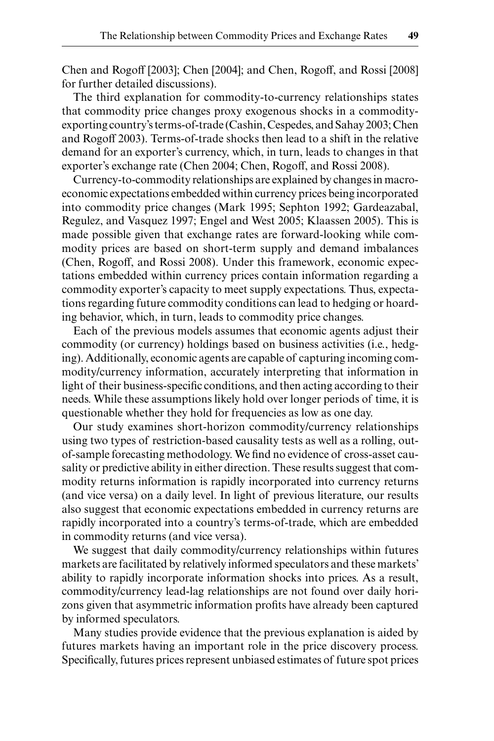Chen and Rogoff [2003]; Chen [2004]; and Chen, Rogoff, and Rossi [2008] for further detailed discussions).

The third explanation for commodity-to-currency relationships states that commodity price changes proxy exogenous shocks in a commodity exporting country's terms-of-trade (Cashin, Cespedes, and Sahay 2003; Chen and Rogoff 2003). Terms-of-trade shocks then lead to a shift in the relative demand for an exporter's currency, which, in turn, leads to changes in that exporter's exchange rate (Chen 2004; Chen, Rogoff, and Rossi 2008).

Currency- to- commodity relationships are explained by changes in macroeconomic expectations embedded within currency prices being incorporated into commodity price changes (Mark 1995; Sephton 1992; Gardeazabal, Regulez, and Vasquez 1997; Engel and West 2005; Klaassen 2005). This is made possible given that exchange rates are forward-looking while commodity prices are based on short- term supply and demand imbalances (Chen, Rogoff, and Rossi 2008). Under this framework, economic expectations embedded within currency prices contain information regarding a commodity exporter's capacity to meet supply expectations. Thus, expectations regarding future commodity conditions can lead to hedging or hoarding behavior, which, in turn, leads to commodity price changes.

Each of the previous models assumes that economic agents adjust their commodity (or currency) holdings based on business activities (i.e., hedging). Additionally, economic agents are capable of capturing incoming commodity/currency information, accurately interpreting that information in light of their business-specific conditions, and then acting according to their needs. While these assumptions likely hold over longer periods of time, it is questionable whether they hold for frequencies as low as one day.

Our study examines short- horizon commodity/currency relationships using two types of restriction- based causality tests as well as a rolling, out of-sample forecasting methodology. We find no evidence of cross-asset causality or predictive ability in either direction. These results suggest that commodity returns information is rapidly incorporated into currency returns (and vice versa) on a daily level. In light of previous literature, our results also suggest that economic expectations embedded in currency returns are rapidly incorporated into a country's terms-of-trade, which are embedded in commodity returns (and vice versa).

We suggest that daily commodity/currency relationships within futures markets are facilitated by relatively informed speculators and these markets' ability to rapidly incorporate information shocks into prices. As a result, commodity/currency lead-lag relationships are not found over daily horizons given that asymmetric information profits have already been captured by informed speculators.

Many studies provide evidence that the previous explanation is aided by futures markets having an important role in the price discovery process. Specifically, futures prices represent unbiased estimates of future spot prices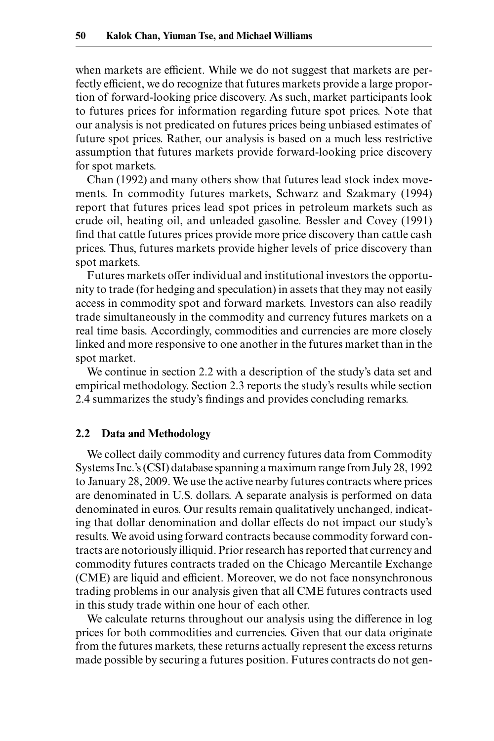when markets are efficient. While we do not suggest that markets are perfectly efficient, we do recognize that futures markets provide a large proportion of forward- looking price discovery. As such, market participants look to futures prices for information regarding future spot prices. Note that our analysis is not predicated on futures prices being unbiased estimates of future spot prices. Rather, our analysis is based on a much less restrictive assumption that futures markets provide forward- looking price discovery for spot markets.

Chan (1992) and many others show that futures lead stock index movements. In commodity futures markets, Schwarz and Szakmary (1994) report that futures prices lead spot prices in petroleum markets such as crude oil, heating oil, and unleaded gasoline. Bessler and Covey (1991) find that cattle futures prices provide more price discovery than cattle cash prices. Thus, futures markets provide higher levels of price discovery than spot markets.

Futures markets offer individual and institutional investors the opportunity to trade (for hedging and speculation) in assets that they may not easily access in commodity spot and forward markets. Investors can also readily trade simultaneously in the commodity and currency futures markets on a real time basis. Accordingly, commodities and currencies are more closely linked and more responsive to one another in the futures market than in the spot market.

We continue in section 2.2 with a description of the study's data set and empirical methodology. Section 2.3 reports the study's results while section 2.4 summarizes the study's findings and provides concluding remarks.

#### **2.2 Data and Methodology**

We collect daily commodity and currency futures data from Commodity Systems Inc.'s (CSI) database spanning a maximum range from July 28, 1992 to January 28, 2009. We use the active nearby futures contracts where prices are denominated in U.S. dollars. A separate analysis is performed on data denominated in euros. Our results remain qualitatively unchanged, indicating that dollar denomination and dollar effects do not impact our study's results. We avoid using forward contracts because commodity forward contracts are notoriously illiquid. Prior research has reported that currency and commodity futures contracts traded on the Chicago Mercantile Exchange (CME) are liquid and efficient. Moreover, we do not face nonsynchronous trading problems in our analysis given that all CME futures contracts used in this study trade within one hour of each other.

We calculate returns throughout our analysis using the difference in log prices for both commodities and currencies. Given that our data originate from the futures markets, these returns actually represent the excess returns made possible by securing a futures position. Futures contracts do not gen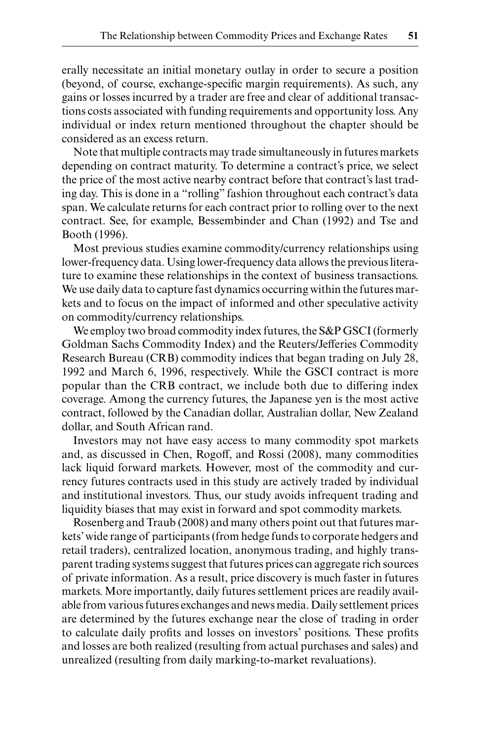erally necessitate an initial monetary outlay in order to secure a position (beyond, of course, exchange-specific margin requirements). As such, any gains or losses incurred by a trader are free and clear of additional transactions costs associated with funding requirements and opportunity loss. Any individual or index return mentioned throughout the chapter should be considered as an excess return.

Note that multiple contracts may trade simultaneously in futures markets depending on contract maturity. To determine a contract's price, we select the price of the most active nearby contract before that contract's last trading day. This is done in a "rolling" fashion throughout each contract's data span. We calculate returns for each contract prior to rolling over to the next contract. See, for example, Bessembinder and Chan (1992) and Tse and Booth (1996).

Most previous studies examine commodity/currency relationships using lower- frequency data. Using lower- frequency data allows the previous literature to examine these relationships in the context of business transactions. We use daily data to capture fast dynamics occurring within the futures markets and to focus on the impact of informed and other speculative activity on commodity/currency relationships.

We employ two broad commodity index futures, the S&P GSCI (formerly Goldman Sachs Commodity Index) and the Reuters/Jefferies Commodity Research Bureau (CRB) commodity indices that began trading on July 28, 1992 and March 6, 1996, respectively. While the GSCI contract is more popular than the CRB contract, we include both due to differing index coverage. Among the currency futures, the Japanese yen is the most active contract, followed by the Canadian dollar, Australian dollar, New Zealand dollar, and South African rand.

Investors may not have easy access to many commodity spot markets and, as discussed in Chen, Rogoff, and Rossi (2008), many commodities lack liquid forward markets. However, most of the commodity and currency futures contracts used in this study are actively traded by individual and institutional investors. Thus, our study avoids infrequent trading and liquidity biases that may exist in forward and spot commodity markets.

Rosenberg and Traub (2008) and many others point out that futures markets' wide range of participants (from hedge funds to corporate hedgers and retail traders), centralized location, anonymous trading, and highly transparent trading systems suggest that futures prices can aggregate rich sources of private information. As a result, price discovery is much faster in futures markets. More importantly, daily futures settlement prices are readily available from various futures exchanges and news media. Daily settlement prices are determined by the futures exchange near the close of trading in order to calculate daily profits and losses on investors' positions. These profits and losses are both realized (resulting from actual purchases and sales) and unrealized (resulting from daily marking-to-market revaluations).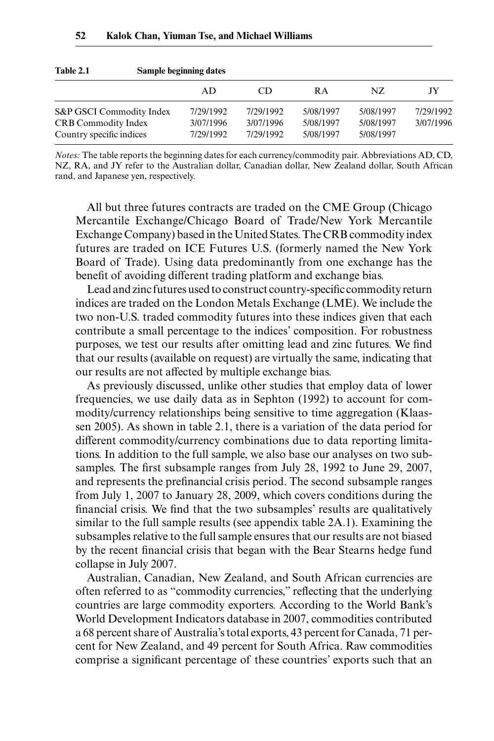| Table 2.1                  | Sample beginning dates |           |           |           |           |  |  |
|----------------------------|------------------------|-----------|-----------|-----------|-----------|--|--|
|                            | AD                     | CD        | <b>RA</b> | NZ.       | JY.       |  |  |
| S&P GSCI Commodity Index   | 7/29/1992              | 7/29/1992 | 5/08/1997 | 5/08/1997 | 7/29/1992 |  |  |
| <b>CRB Commodity Index</b> | 3/07/1996              | 3/07/1996 | 5/08/1997 | 5/08/1997 | 3/07/1996 |  |  |
| Country specific indices   | 7/29/1992              | 7/29/1992 | 5/08/1997 | 5/08/1997 |           |  |  |

*Notes:* The table reports the beginning dates for each currency/commodity pair. Abbreviations AD, CD, NZ, RA, and JY refer to the Australian dollar, Canadian dollar, New Zealand dollar, South African rand, and Japanese yen, respectively.

All but three futures contracts are traded on the CME Group (Chicago Mercantile Exchange/Chicago Board of Trade/New York Mercantile Exchange Company) based in the United States. The CRB commodity index futures are traded on ICE Futures U.S. (formerly named the New York Board of Trade). Using data predominantly from one exchange has the benefit of avoiding different trading platform and exchange bias.

Lead and zinc futures used to construct country-specific commodity return indices are traded on the London Metals Exchange (LME). We include the two non-U.S. traded commodity futures into these indices given that each contribute a small percentage to the indices' composition. For robustness purposes, we test our results after omitting lead and zinc futures. We find that our results (available on request) are virtually the same, indicating that our results are not affected by multiple exchange bias.

As previously discussed, unlike other studies that employ data of lower frequencies, we use daily data as in Sephton (1992) to account for commodity/currency relationships being sensitive to time aggregation (Klaassen 2005). As shown in table 2.1, there is a variation of the data period for different commodity/currency combinations due to data reporting limitations. In addition to the full sample, we also base our analyses on two subsamples. The first subsample ranges from July 28, 1992 to June 29, 2007, and represents the prefinancial crisis period. The second subsample ranges from July 1, 2007 to January 28, 2009, which covers conditions during the financial crisis. We find that the two subsamples' results are qualitatively similar to the full sample results (see appendix table 2A.1). Examining the subsamples relative to the full sample ensures that our results are not biased by the recent financial crisis that began with the Bear Stearns hedge fund collapse in July 2007.

Australian, Canadian, New Zealand, and South African currencies are often referred to as "commodity currencies," reflecting that the underlying countries are large commodity exporters. According to the World Bank's World Development Indicators database in 2007, commodities contributed a 68 percent share of Australia's total exports, 43 percent for Canada, 71 percent for New Zealand, and 49 percent for South Africa. Raw commodities comprise a significant percentage of these countries' exports such that an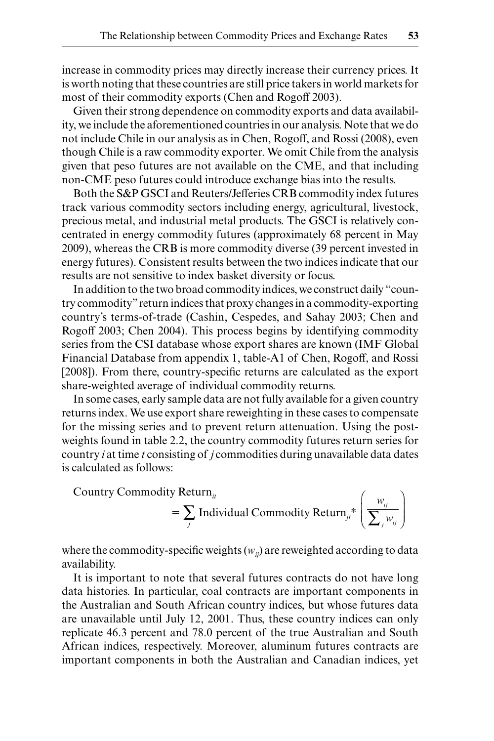increase in commodity prices may directly increase their currency prices. It is worth noting that these countries are still price takers in world markets for most of their commodity exports (Chen and Rogoff 2003).

Given their strong dependence on commodity exports and data availability, we include the aforementioned countries in our analysis. Note that we do not include Chile in our analysis as in Chen, Rogoff, and Rossi (2008), even though Chile is a raw commodity exporter. We omit Chile from the analysis given that peso futures are not available on the CME, and that including non- CME peso futures could introduce exchange bias into the results.

Both the S&P GSCI and Reuters/Jefferies CRB commodity index futures track various commodity sectors including energy, agricultural, livestock, precious metal, and industrial metal products. The GSCI is relatively concentrated in energy commodity futures (approximately 68 percent in May 2009), whereas the CRB is more commodity diverse (39 percent invested in energy futures). Consistent results between the two indices indicate that our results are not sensitive to index basket diversity or focus.

In addition to the two broad commodity indices, we construct daily "country commodity" return indices that proxy changes in a commodity-exporting country's terms-of-trade (Cashin, Cespedes, and Sahay 2003; Chen and Rogoff 2003; Chen 2004). This process begins by identifying commodity series from the CSI database whose export shares are known (IMF Global Financial Database from appendix 1, table-A1 of Chen, Rogoff, and Rossi [2008]). From there, country-specific returns are calculated as the export share- weighted average of individual commodity returns.

In some cases, early sample data are not fully available for a given country returns index. We use export share reweighting in these cases to compensate for the missing series and to prevent return attenuation. Using the postweights found in table 2.2, the country commodity futures return series for country *i* at time *t* consisting of *j* commodities during unavailable data dates is calculated as follows:

Country Commodity Return<sub>it</sub>

y Return<sub>ii</sub>  
= 
$$
\sum_j
$$
 Individual Commonity Return<sub>ji</sub><sup>\*</sup>  $\left( \frac{w_{ij}}{\sum_j w_{ij}} \right)$ 

 $\frac{1}{\sqrt{2}}$ 

where the commodity-specific weights  $(w_{ij})$  are reweighted according to data availability.

It is important to note that several futures contracts do not have long data histories. In particular, coal contracts are important components in the Australian and South African country indices, but whose futures data are unavailable until July 12, 2001. Thus, these country indices can only replicate 46.3 percent and 78.0 percent of the true Australian and South African indices, respectively. Moreover, aluminum futures contracts are important components in both the Australian and Canadian indices, yet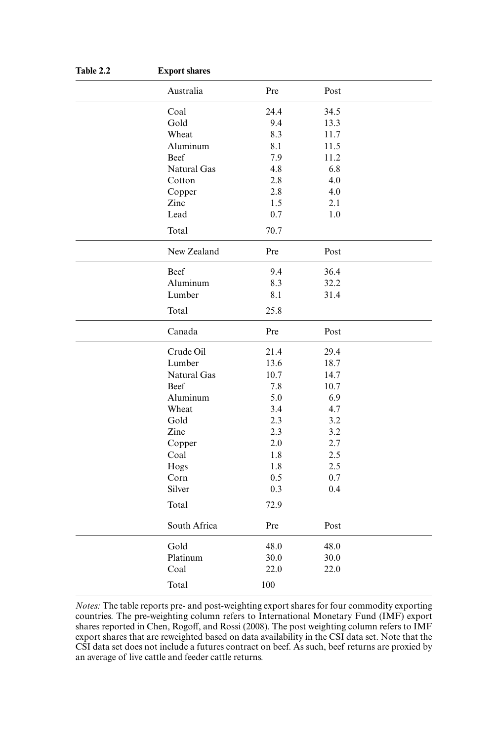| Table 2.2 | <b>Export shares</b> |      |      |  |  |  |
|-----------|----------------------|------|------|--|--|--|
|           | Australia            | Pre  | Post |  |  |  |
|           | Coal                 | 24.4 | 34.5 |  |  |  |
|           | Gold                 | 9.4  | 13.3 |  |  |  |
|           | Wheat                | 8.3  | 11.7 |  |  |  |
|           | Aluminum             | 8.1  | 11.5 |  |  |  |
|           | Beef                 | 7.9  | 11.2 |  |  |  |
|           | Natural Gas          | 4.8  | 6.8  |  |  |  |
|           | Cotton               | 2.8  | 4.0  |  |  |  |
|           | Copper               | 2.8  | 4.0  |  |  |  |
|           | Zinc                 | 1.5  | 2.1  |  |  |  |
|           | Lead                 | 0.7  | 1.0  |  |  |  |
|           | Total                | 70.7 |      |  |  |  |
|           | New Zealand          | Pre  | Post |  |  |  |
|           | Beef                 | 9.4  | 36.4 |  |  |  |
|           | Aluminum             | 8.3  | 32.2 |  |  |  |
|           | Lumber               | 8.1  | 31.4 |  |  |  |
|           | Total                | 25.8 |      |  |  |  |
|           | Canada               | Pre  | Post |  |  |  |
|           | Crude Oil            | 21.4 | 29.4 |  |  |  |
|           | Lumber               | 13.6 | 18.7 |  |  |  |
|           | Natural Gas          | 10.7 | 14.7 |  |  |  |
|           | Beef                 | 7.8  | 10.7 |  |  |  |
|           | Aluminum             | 5.0  | 6.9  |  |  |  |
|           | Wheat                | 3.4  | 4.7  |  |  |  |
|           | Gold                 | 2.3  | 3.2  |  |  |  |
|           | Zinc                 | 2.3  | 3.2  |  |  |  |
|           | Copper               | 2.0  | 2.7  |  |  |  |
|           | Coal                 | 1.8  | 2.5  |  |  |  |
|           | Hogs                 | 1.8  | 2.5  |  |  |  |
|           | Corn                 | 0.5  | 0.7  |  |  |  |
|           | Silver               | 0.3  | 0.4  |  |  |  |
|           | Total                | 72.9 |      |  |  |  |
|           | South Africa         | Pre  | Post |  |  |  |
|           | Gold                 | 48.0 | 48.0 |  |  |  |
|           | Platinum             | 30.0 | 30.0 |  |  |  |
|           | Coal                 | 22.0 | 22.0 |  |  |  |
|           | Total                | 100  |      |  |  |  |

*Notes:* The table reports pre- and post- weighting export shares for four commodity exporting countries. The pre- weighting column refers to International Monetary Fund (IMF) export shares reported in Chen, Rogoff, and Rossi (2008). The post weighting column refers to IMF export shares that are reweighted based on data availability in the CSI data set. Note that the CSI data set does not include a futures contract on beef. As such, beef returns are proxied by an average of live cattle and feeder cattle returns.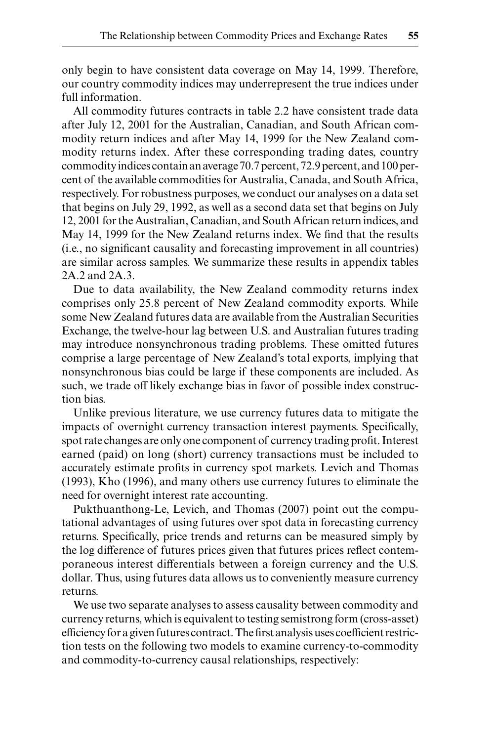only begin to have consistent data coverage on May 14, 1999. Therefore, our country commodity indices may underrepresent the true indices under full information.

All commodity futures contracts in table 2.2 have consistent trade data after July 12, 2001 for the Australian, Canadian, and South African commodity return indices and after May 14, 1999 for the New Zealand commodity returns index. After these corresponding trading dates, country commodity indices contain an average 70.7 percent, 72.9 percent, and 100 per cent of the available commodities for Australia, Canada, and South Africa, respectively. For robustness purposes, we conduct our analyses on a data set that begins on July 29, 1992, as well as a second data set that begins on July 12, 2001 for the Australian, Canadian, and South African return indices, and May 14, 1999 for the New Zealand returns index. We find that the results (i.e., no significant causality and forecasting improvement in all countries) are similar across samples. We summarize these results in appendix tables 2A.2 and 2A.3.

Due to data availability, the New Zealand commodity returns index comprises only 25.8 percent of New Zealand commodity exports. While some New Zealand futures data are available from the Australian Securities Exchange, the twelve-hour lag between U.S. and Australian futures trading may introduce nonsynchronous trading problems. These omitted futures comprise a large percentage of New Zealand's total exports, implying that nonsynchronous bias could be large if these components are included. As such, we trade off likely exchange bias in favor of possible index construction bias.

Unlike previous literature, we use currency futures data to mitigate the impacts of overnight currency transaction interest payments. Specifically, spot rate changes are only one component of currency trading profit. Interest earned (paid) on long (short) currency transactions must be included to accurately estimate profits in currency spot markets. Levich and Thomas (1993), Kho (1996), and many others use currency futures to eliminate the need for overnight interest rate accounting.

Pukthuanthong-Le, Levich, and Thomas (2007) point out the computational advantages of using futures over spot data in forecasting currency returns. Specifically, price trends and returns can be measured simply by the log difference of futures prices given that futures prices reflect contemporaneous interest differentials between a foreign currency and the U.S. dollar. Thus, using futures data allows us to conveniently measure currency returns.

We use two separate analyses to assess causality between commodity and currency returns, which is equivalent to testing semistrong form (cross- asset) efficiency for a given futures contract. The first analysis uses coefficient restriction tests on the following two models to examine currency-to-commodity and commodity-to-currency causal relationships, respectively: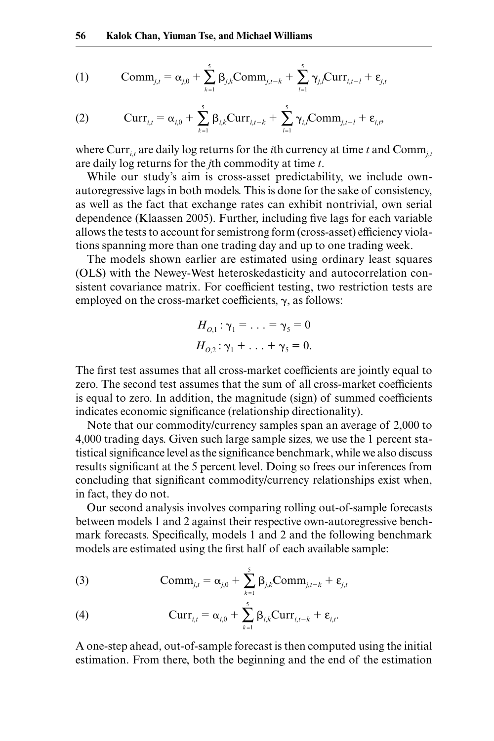(1) 
$$
\text{Comm}_{j,t} = \alpha_{j,0} + \sum_{k=1}^{5} \beta_{j,k} \text{Comm}_{j,t-k} + \sum_{l=1}^{5} \gamma_{j,l} \text{Curr}_{i,t-l} + \varepsilon_{j,t}
$$

(2) 
$$
Curr_{i,t} = \alpha_{i,0} + \sum_{k=1}^{5} \beta_{i,k} Curr_{i,t-k} + \sum_{l=1}^{5} \gamma_{i,l} Comm_{j,t-l} + \varepsilon_{i,t},
$$

where Curr<sub>*i,t*</sub> are daily log returns for the *i*th currency at time *t* and Comm<sub>*j,t*</sub> are daily log returns for the *j*th commodity at time *t*.

While our study's aim is cross-asset predictability, we include own autoregressive lags in both models. This is done for the sake of consistency, as well as the fact that exchange rates can exhibit nontrivial, own serial dependence (Klaassen 2005). Further, including five lags for each variable allows the tests to account for semistrong form (cross- asset) efficiency violations spanning more than one trading day and up to one trading week.

The models shown earlier are estimated using ordinary least squares (OLS) with the Newey- West heteroskedasticity and autocorrelation consistent covariance matrix. For coefficient testing, two restriction tests are employed on the cross-market coefficients,  $\gamma$ , as follows:

$$
H_{O,1}: \gamma_1 = \ldots = \gamma_5 = 0
$$
  

$$
H_{O,2}: \gamma_1 + \ldots + \gamma_5 = 0.
$$

The first test assumes that all cross-market coefficients are jointly equal to zero. The second test assumes that the sum of all cross-market coefficients is equal to zero. In addition, the magnitude (sign) of summed coefficients indicates economic significance (relationship directionality).

Note that our commodity/currency samples span an average of 2,000 to 4,000 trading days. Given such large sample sizes, we use the 1 percent statistical significance level as the significance benchmark, while we also discuss results significant at the 5 percent level. Doing so frees our inferences from concluding that significant commodity/currency relationships exist when, in fact, they do not.

Our second analysis involves comparing rolling out-of-sample forecasts between models 1 and 2 against their respective own-autoregressive benchmark forecasts. Specifically, models 1 and 2 and the following benchmark models are estimated using the first half of each available sample:

(3) 
$$
\text{Comm}_{j,t} = \alpha_{j,0} + \sum_{k=1}^{5} \beta_{j,k} \text{Comm}_{j,t-k} + \varepsilon_{j,t}
$$

(4) 
$$
\operatorname{Curr}_{i,t} = \alpha_{i,0} + \sum_{k=1}^5 \beta_{i,k} \operatorname{Curr}_{i,t-k} + \varepsilon_{i,t}.
$$

A one- step ahead, out- of- sample forecast is then computed using the initial estimation. From there, both the beginning and the end of the estimation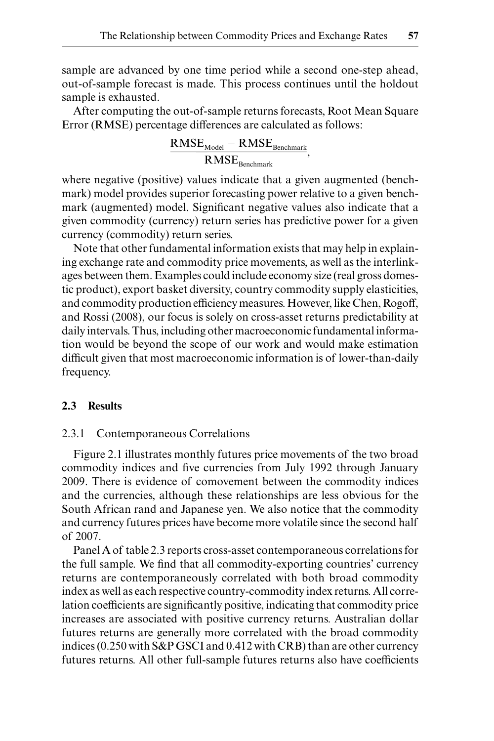sample are advanced by one time period while a second one- step ahead, out- of- sample forecast is made. This process continues until the holdout sample is exhausted.

After computing the out-of-sample returns forecasts, Root Mean Square Error (RMSE) percentage differences are calculated as follows:

$$
\frac{\text{RMSE}_{\text{Model}} - \text{RMSE}_{\text{Benchmark}}}{\text{RMSE}_{\text{Benchmark}}},
$$

where negative (positive) values indicate that a given augmented (benchmark) model provides superior forecasting power relative to a given benchmark (augmented) model. Significant negative values also indicate that a given commodity (currency) return series has predictive power for a given currency (commodity) return series.

Note that other fundamental information exists that may help in explaining exchange rate and commodity price movements, as well as the interlinkages between them. Examples could include economy size (real gross domestic product), export basket diversity, country commodity supply elasticities, and commodity production efficiency measures. However, like Chen, Rogoff, and Rossi (2008), our focus is solely on cross- asset returns predictability at daily intervals. Thus, including other macroeconomic fundamental information would be beyond the scope of our work and would make estimation difficult given that most macroeconomic information is of lower-than-daily frequency.

### **2.3 Results**

#### 2.3.1 Contemporaneous Correlations

Figure 2.1 illustrates monthly futures price movements of the two broad commodity indices and five currencies from July 1992 through January 2009. There is evidence of comovement between the commodity indices and the currencies, although these relationships are less obvious for the South African rand and Japanese yen. We also notice that the commodity and currency futures prices have become more volatile since the second half of 2007.

Panel A of table 2.3 reports cross- asset contemporaneous correlations for the full sample. We find that all commodity-exporting countries' currency returns are contemporaneously correlated with both broad commodity index as well as each respective country- commodity index returns. All correlation coefficients are significantly positive, indicating that commodity price increases are associated with positive currency returns. Australian dollar futures returns are generally more correlated with the broad commodity indices (0.250 with S&P GSCI and 0.412 with CRB) than are other currency futures returns. All other full-sample futures returns also have coefficients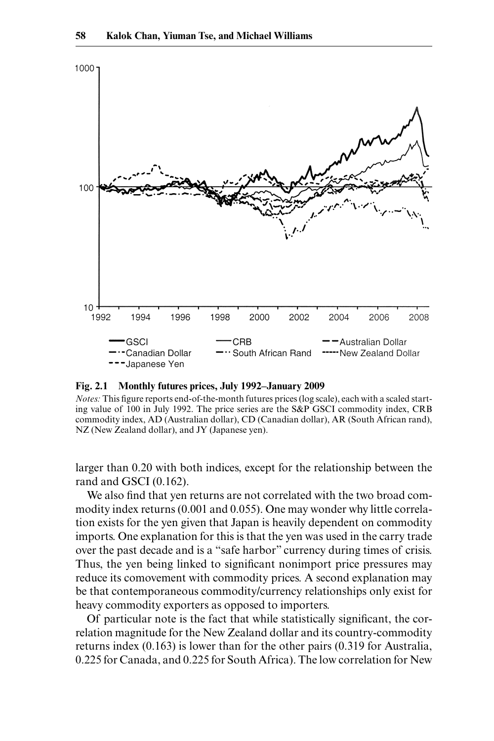

**Fig. 2.1 Monthly futures prices, July 1992–January 2009**

*Notes:* This figure reports end-of-the-month futures prices (log scale), each with a scaled starting value of 100 in July 1992. The price series are the S&P GSCI commodity index, CRB commodity index, AD (Australian dollar), CD (Canadian dollar), AR (South African rand), NZ (New Zealand dollar), and JY (Japanese yen).

larger than 0.20 with both indices, except for the relationship between the rand and GSCI (0.162).

We also find that yen returns are not correlated with the two broad commodity index returns (0.001 and 0.055). One may wonder why little correlation exists for the yen given that Japan is heavily dependent on commodity imports. One explanation for this is that the yen was used in the carry trade over the past decade and is a "safe harbor" currency during times of crisis. Thus, the yen being linked to significant nonimport price pressures may reduce its comovement with commodity prices. A second explanation may be that contemporaneous commodity/currency relationships only exist for heavy commodity exporters as opposed to importers.

Of particular note is the fact that while statistically significant, the correlation magnitude for the New Zealand dollar and its country- commodity returns index (0.163) is lower than for the other pairs (0.319 for Australia, 0.225 for Canada, and 0.225 for South Africa). The low correlation for New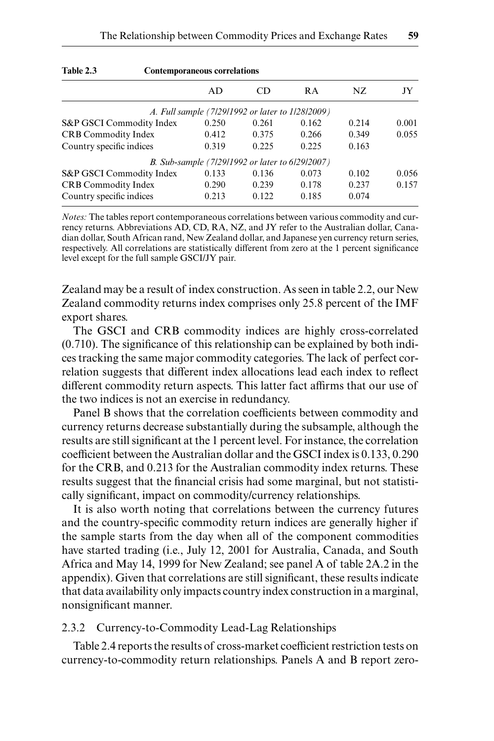| Table 2.3<br><b>Contemporaneous correlations</b> |       |                                                  |           |       |       |
|--------------------------------------------------|-------|--------------------------------------------------|-----------|-------|-------|
|                                                  | AD    | CD                                               | <b>RA</b> | NZ.   | JY    |
|                                                  |       | A. Full sample (7/29/1992 or later to 1/28/2009) |           |       |       |
| S&P GSCI Commodity Index                         | 0.250 | 0.261                                            | 0.162     | 0.214 | 0.001 |
| <b>CRB Commodity Index</b>                       | 0.412 | 0.375                                            | 0.266     | 0.349 | 0.055 |
| Country specific indices                         | 0.319 | 0.225                                            | 0.225     | 0.163 |       |
|                                                  |       | B. Sub-sample (7/29/1992 or later to 6/29/2007)  |           |       |       |
| S&P GSCI Commodity Index                         | 0.133 | 0.136                                            | 0.073     | 0.102 | 0.056 |
| <b>CRB Commodity Index</b>                       | 0.290 | 0.239                                            | 0.178     | 0.237 | 0.157 |
| Country specific indices                         | 0.213 | 0.122                                            | 0.185     | 0.074 |       |

*Notes:* The tables report contemporaneous correlations between various commodity and currency returns. Abbreviations AD, CD, RA, NZ, and JY refer to the Australian dollar, Canadian dollar, South African rand, New Zealand dollar, and Japanese yen currency return series, respectively. All correlations are statistically different from zero at the 1 percent significance level except for the full sample GSCI/JY pair.

Zealand may be a result of index construction. As seen in table 2.2, our New Zealand commodity returns index comprises only 25.8 percent of the IMF export shares.

The GSCI and CRB commodity indices are highly cross-correlated  $(0.710)$ . The significance of this relationship can be explained by both indices tracking the same major commodity categories. The lack of perfect correlation suggests that different index allocations lead each index to reflect different commodity return aspects. This latter fact affirms that our use of the two indices is not an exercise in redundancy.

Panel B shows that the correlation coefficients between commodity and currency returns decrease substantially during the subsample, although the results are still significant at the 1 percent level. For instance, the correlation coefficient between the Australian dollar and the GSCI index is 0.133, 0.290 for the CRB, and 0.213 for the Australian commodity index returns. These results suggest that the financial crisis had some marginal, but not statistically significant, impact on commodity/currency relationships.

It is also worth noting that correlations between the currency futures and the country-specific commodity return indices are generally higher if the sample starts from the day when all of the component commodities have started trading (i.e., July 12, 2001 for Australia, Canada, and South Africa and May 14, 1999 for New Zealand; see panel A of table 2A.2 in the appendix). Given that correlations are still significant, these results indicate that data availability only impacts country index construction in a marginal, nonsignificant manner.

#### 2.3.2 Currency-to-Commodity Lead-Lag Relationships

Table 2.4 reports the results of cross- market coefficient restriction tests on currency- to- commodity return relationships. Panels A and B report zero-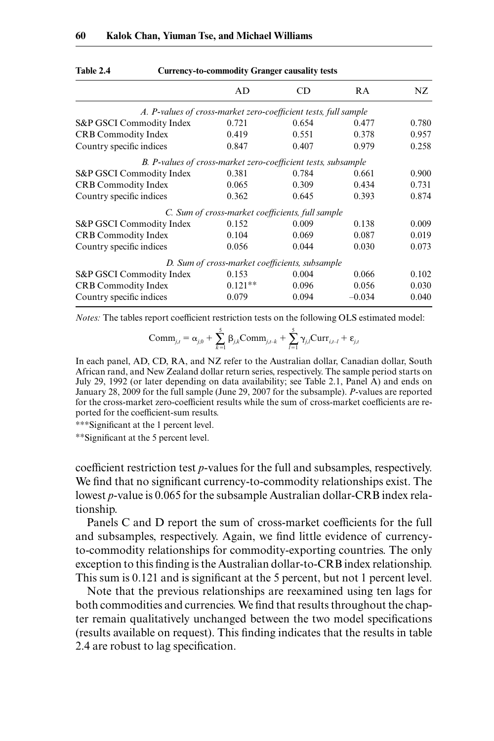|                                                                 | AD                                               | CD    | RA       | NZ    |
|-----------------------------------------------------------------|--------------------------------------------------|-------|----------|-------|
| A. P-values of cross-market zero-coefficient tests, full sample |                                                  |       |          |       |
| S&P GSCI Commodity Index                                        | 0.721                                            | 0.654 | 0.477    | 0.780 |
| <b>CRB</b> Commodity Index                                      | 0.419                                            | 0.551 | 0.378    | 0.957 |
| Country specific indices                                        | 0.847                                            | 0.407 | 0.979    | 0.258 |
| B. P-values of cross-market zero-coefficient tests, subsample   |                                                  |       |          |       |
| S&P GSCI Commodity Index                                        | 0.381                                            | 0.784 | 0.661    | 0.900 |
| <b>CRB Commodity Index</b>                                      | 0.065                                            | 0.309 | 0.434    | 0.731 |
| Country specific indices                                        | 0.362                                            | 0.645 | 0.393    | 0.874 |
|                                                                 | C. Sum of cross-market coefficients, full sample |       |          |       |
| S&P GSCI Commodity Index                                        | 0.152                                            | 0.009 | 0.138    | 0.009 |
| CRB Commodity Index                                             | 0.104                                            | 0.069 | 0.087    | 0.019 |
| Country specific indices                                        | 0.056                                            | 0.044 | 0.030    | 0.073 |
|                                                                 | D. Sum of cross-market coefficients, subsample   |       |          |       |
| S&P GSCI Commodity Index                                        | 0.153                                            | 0.004 | 0.066    | 0.102 |
| <b>CRB</b> Commodity Index                                      | $0.121**$                                        | 0.096 | 0.056    | 0.030 |
| Country specific indices                                        | 0.079                                            | 0.094 | $-0.034$ | 0.040 |
|                                                                 |                                                  |       |          |       |

**Table 2.4 Currency- to- commodity Granger causality tests**

*Notes:* The tables report coefficient restriction tests on the following OLS estimated model:

$$
Comm_{j,t} = \alpha_{j,0} + \sum_{k=1}^{5} \beta_{j,k}Comm_{j,t-k} + \sum_{l=1}^{5} \gamma_{j,l}Curr_{i,t-l} + \varepsilon_{j,t}
$$

In each panel, AD, CD, RA, and NZ refer to the Australian dollar, Canadian dollar, South African rand, and New Zealand dollar return series, respectively. The sample period starts on July 29, 1992 (or later depending on data availability; see Table 2.1, Panel A) and ends on January 28, 2009 for the full sample (June 29, 2007 for the subsample). *P*- values are reported for the cross- market zero- coefficient results while the sum of cross- market coefficients are reported for the coefficient-sum results.

∗∗∗Signifi cant at the 1 percent level.

∗∗Signifi cant at the 5 percent level.

coefficient restriction test *p*-values for the full and subsamples, respectively. We find that no significant currency-to-commodity relationships exist. The lowest *p*-value is 0.065 for the subsample Australian dollar-CRB index relationship.

Panels C and D report the sum of cross-market coefficients for the full and subsamples, respectively. Again, we find little evidence of currency to- commodity relationships for commodity- exporting countries. The only exception to this finding is the Australian dollar-to-CRB index relationship. This sum is 0.121 and is significant at the 5 percent, but not 1 percent level.

Note that the previous relationships are reexamined using ten lags for both commodities and currencies. We find that results throughout the chapter remain qualitatively unchanged between the two model specifications (results available on request). This finding indicates that the results in table 2.4 are robust to lag specification.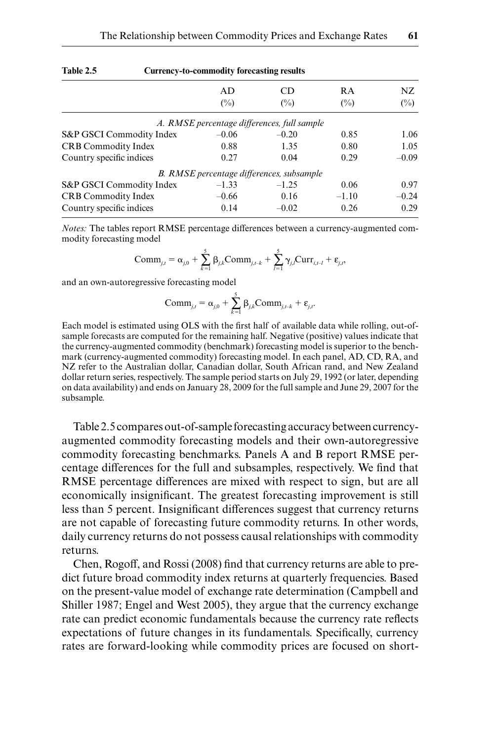| Table 2.5                  | <b>Currency-to-commodity forecasting results</b> |                                             |                |         |  |  |
|----------------------------|--------------------------------------------------|---------------------------------------------|----------------|---------|--|--|
|                            | AD                                               | CD                                          | <b>RA</b>      | NZ.     |  |  |
|                            | $(\%)$                                           | $\binom{0}{0}$                              | $\binom{0}{0}$ | $(\%)$  |  |  |
|                            |                                                  | A. RMSE percentage differences, full sample |                |         |  |  |
| S&P GSCI Commodity Index   | $-0.06$                                          | $-0.20$                                     | 0.85           | 1.06    |  |  |
| <b>CRB</b> Commodity Index | 0.88                                             | 1.35                                        | 0.80           | 1.05    |  |  |
| Country specific indices   | 0.27                                             | 0.04                                        | 0.29           | $-0.09$ |  |  |
|                            |                                                  | B. RMSE percentage differences, subsample   |                |         |  |  |
| S&P GSCI Commodity Index   | $-1.33$                                          | $-1.25$                                     | 0.06           | 0.97    |  |  |
| CRB Commodity Index        | $-0.66$                                          | 0.16                                        | $-1.10$        | $-0.24$ |  |  |
| Country specific indices   | 0.14                                             | $-0.02$                                     | 0.26           | 0.29    |  |  |

*Notes:* The tables report RMSE percentage differences between a currency- augmented commodity forecasting model

$$
Comm_{j,t} = \alpha_{j,0} + \sum_{k=1}^{5} \beta_{j,k}Comm_{j,t-k} + \sum_{l=1}^{5} \gamma_{j,l}Curr_{i,t-l} + \varepsilon_{j,t},
$$

and an own-autoregressive forecasting model

$$
\text{Comm}_{j,t} = \alpha_{j,0} + \sum_{k=1}^{5} \beta_{j,k} \text{Comm}_{j,t-k} + \varepsilon_{j,t}.
$$

Each model is estimated using OLS with the first half of available data while rolling, out-ofsample forecasts are computed for the remaining half. Negative (positive) values indicate that the currency- augmented commodity (benchmark) forecasting model is superior to the benchmark (currency-augmented commodity) forecasting model. In each panel, AD, CD, RA, and NZ refer to the Australian dollar, Canadian dollar, South African rand, and New Zealand dollar return series, respectively. The sample period starts on July 29, 1992 (or later, depending on data availability) and ends on January 28, 2009 for the full sample and June 29, 2007 for the subsample.

Table 2.5 compares out-of-sample forecasting accuracy between currencyaugmented commodity forecasting models and their own-autoregressive commodity forecasting benchmarks. Panels A and B report RMSE percentage differences for the full and subsamples, respectively. We find that RMSE percentage differences are mixed with respect to sign, but are all economically insignificant. The greatest forecasting improvement is still less than 5 percent. Insignificant differences suggest that currency returns are not capable of forecasting future commodity returns. In other words, daily currency returns do not possess causal relationships with commodity returns.

Chen, Rogoff, and Rossi (2008) find that currency returns are able to predict future broad commodity index returns at quarterly frequencies. Based on the present- value model of exchange rate determination (Campbell and Shiller 1987; Engel and West 2005), they argue that the currency exchange rate can predict economic fundamentals because the currency rate reflects expectations of future changes in its fundamentals. Specifically, currency rates are forward-looking while commodity prices are focused on short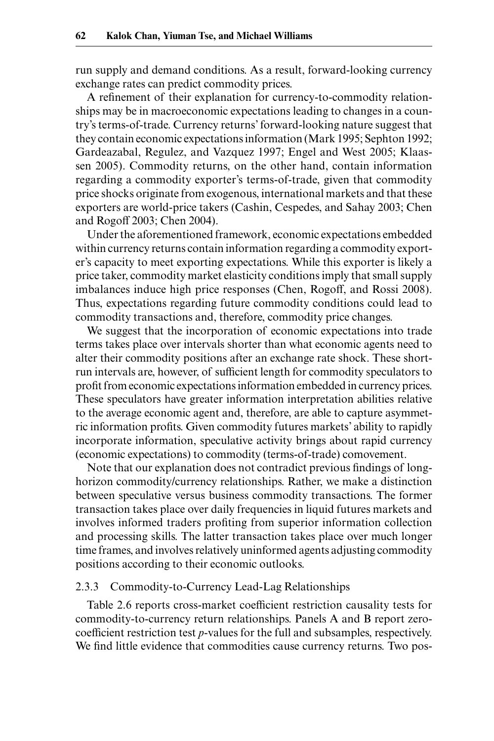run supply and demand conditions. As a result, forward- looking currency exchange rates can predict commodity prices.

A refinement of their explanation for currency-to-commodity relationships may be in macroeconomic expectations leading to changes in a country's terms- of- trade. Currency returns' forward- looking nature suggest that they contain economic expectations information (Mark 1995; Sephton 1992; Gardeazabal, Regulez, and Vazquez 1997; Engel and West 2005; Klaassen 2005). Commodity returns, on the other hand, contain information regarding a commodity exporter's terms-of-trade, given that commodity price shocks originate from exogenous, international markets and that these exporters are world-price takers (Cashin, Cespedes, and Sahay 2003; Chen and Rogoff 2003; Chen 2004).

Under the aforementioned framework, economic expectations embedded within currency returns contain information regarding a commodity exporter's capacity to meet exporting expectations. While this exporter is likely a price taker, commodity market elasticity conditions imply that small supply imbalances induce high price responses (Chen, Rogoff, and Rossi 2008). Thus, expectations regarding future commodity conditions could lead to commodity transactions and, therefore, commodity price changes.

We suggest that the incorporation of economic expectations into trade terms takes place over intervals shorter than what economic agents need to alter their commodity positions after an exchange rate shock. These short run intervals are, however, of sufficient length for commodity speculators to profit from economic expectations information embedded in currency prices. These speculators have greater information interpretation abilities relative to the average economic agent and, therefore, are able to capture asymmetric information profits. Given commodity futures markets' ability to rapidly incorporate information, speculative activity brings about rapid currency (economic expectations) to commodity (terms-of-trade) comovement.

Note that our explanation does not contradict previous findings of long horizon commodity/currency relationships. Rather, we make a distinction between speculative versus business commodity transactions. The former transaction takes place over daily frequencies in liquid futures markets and involves informed traders profiting from superior information collection and processing skills. The latter transaction takes place over much longer time frames, and involves relatively uninformed agents adjusting commodity positions according to their economic outlooks.

## 2.3.3 Commodity-to-Currency Lead-Lag Relationships

Table 2.6 reports cross-market coefficient restriction causality tests for commodity- to- currency return relationships. Panels A and B report zero coefficient restriction test *p*- values for the full and subsamples, respectively. We find little evidence that commodities cause currency returns. Two pos-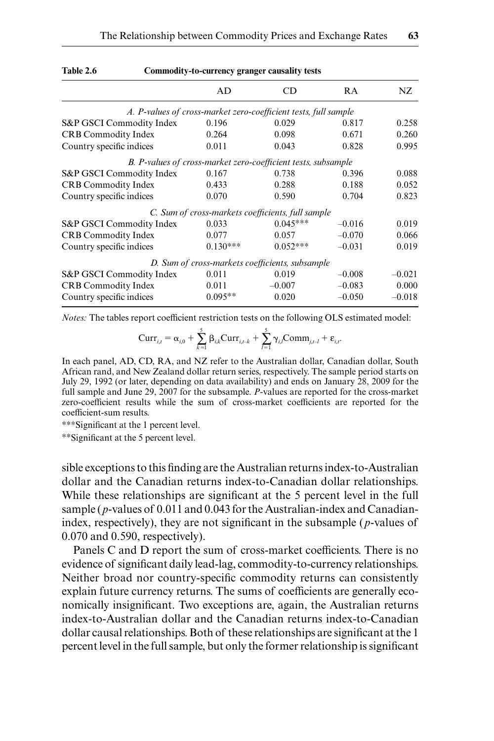|                                                                 | AD         | CD                                                            | RA       | NZ       |
|-----------------------------------------------------------------|------------|---------------------------------------------------------------|----------|----------|
| A. P-values of cross-market zero-coefficient tests, full sample |            |                                                               |          |          |
| S&P GSCI Commodity Index                                        | 0.196      | 0.029                                                         | 0.817    | 0.258    |
| <b>CRB Commodity Index</b>                                      | 0.264      | 0.098                                                         | 0.671    | 0.260    |
| Country specific indices                                        | 0.011      | 0.043                                                         | 0.828    | 0.995    |
|                                                                 |            | B. P-values of cross-market zero-coefficient tests, subsample |          |          |
| S&P GSCI Commodity Index                                        | 0.167      | 0.738                                                         | 0.396    | 0.088    |
| <b>CRB Commodity Index</b>                                      | 0.433      | 0.288                                                         | 0.188    | 0.052    |
| Country specific indices                                        | 0.070      | 0.590                                                         | 0.704    | 0.823    |
|                                                                 |            | C. Sum of cross-markets coefficients, full sample             |          |          |
| S&P GSCI Commodity Index                                        | 0.033      | $0.045***$                                                    | $-0.016$ | 0.019    |
| <b>CRB</b> Commodity Index                                      | 0.077      | 0.057                                                         | $-0.070$ | 0.066    |
| Country specific indices                                        | $0.130***$ | $0.052***$                                                    | $-0.031$ | 0.019    |
|                                                                 |            | D. Sum of cross-markets coefficients, subsample               |          |          |
| S&P GSCI Commodity Index                                        | 0.011      | 0.019                                                         | $-0.008$ | $-0.021$ |
| <b>CRB</b> Commodity Index                                      | 0.011      | $-0.007$                                                      | $-0.083$ | 0.000    |
| Country specific indices                                        | $0.095**$  | 0.020                                                         | $-0.050$ | $-0.018$ |

#### Table 2.6 Commodity-to-currency granger causality tests

*Notes:* The tables report coefficient restriction tests on the following OLS estimated model:

$$
Curr_{i,t} = \alpha_{i,0} + \sum_{k=1}^{5} \beta_{i,k} Curr_{i,t-k} + \sum_{l=1}^{5} \gamma_{i,l} Comm_{j,t-l} + \varepsilon_{i,t}.
$$

In each panel, AD, CD, RA, and NZ refer to the Australian dollar, Canadian dollar, South African rand, and New Zealand dollar return series, respectively. The sample period starts on July 29, 1992 (or later, depending on data availability) and ends on January 28, 2009 for the full sample and June 29, 2007 for the subsample. *P*-values are reported for the cross-market zero- coefficient results while the sum of cross- market coefficients are reported for the coefficient-sum results.

∗∗∗Signifi cant at the 1 percent level.

∗∗Signifi cant at the 5 percent level.

sible exceptions to this finding are the Australian returns index-to-Australian dollar and the Canadian returns index-to-Canadian dollar relationships. While these relationships are significant at the 5 percent level in the full sample (*p*-values of 0.011 and 0.043 for the Australian-index and Canadianindex, respectively), they are not significant in the subsample ( $p$ -values of 0.070 and 0.590, respectively).

Panels C and D report the sum of cross-market coefficients. There is no evidence of significant daily lead-lag, commodity-to-currency relationships. Neither broad nor country-specific commodity returns can consistently explain future currency returns. The sums of coefficients are generally economically insignificant. Two exceptions are, again, the Australian returns index- to- Australian dollar and the Canadian returns index- to- Canadian dollar causal relationships. Both of these relationships are significant at the 1 percent level in the full sample, but only the former relationship is significant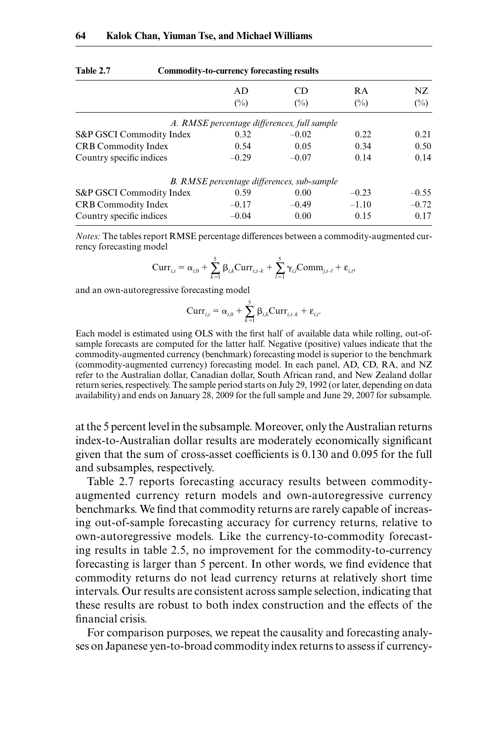|                            | AD<br>$(\%)$ | CD<br>$\binom{0}{0}$                              | <b>RA</b><br>$\binom{0}{0}$ | NZ<br>$(\%)$ |
|----------------------------|--------------|---------------------------------------------------|-----------------------------|--------------|
|                            |              | A. RMSE percentage differences, full sample       |                             |              |
| S&P GSCI Commodity Index   | 0.32         | $-0.02$                                           | 0.22                        | 0.21         |
| <b>CRB</b> Commodity Index | 0.54         | 0.05                                              | 0.34                        | 0.50         |
| Country specific indices   | $-0.29$      | $-0.07$                                           | 0.14                        | 0.14         |
|                            |              | <b>B.</b> RMSE percentage differences, sub-sample |                             |              |
| S&P GSCI Commodity Index   | 0.59         | 0.00                                              | $-0.23$                     | $-0.55$      |
| <b>CRB Commodity Index</b> | $-0.17$      | $-0.49$                                           | $-1.10$                     | $-0.72$      |
| Country specific indices   | $-0.04$      | 0.00                                              | 0.15                        | 0.17         |
|                            |              |                                                   |                             |              |

| Table 2.7 | Commodity-to-currency forecasting results |
|-----------|-------------------------------------------|
|-----------|-------------------------------------------|

*Notes:* The tables report RMSE percentage differences between a commodity- augmented currency forecasting model

$$
Curr_{i,t} = \alpha_{i,0} + \sum_{k=1}^{5} \beta_{i,k} Curr_{i,t-k} + \sum_{l=1}^{5} \gamma_{i,l} Comm_{j,t-l} + \varepsilon_{i,t},
$$

and an own-autoregressive forecasting model

$$
Curr_{i,t} = \alpha_{i,0} + \sum_{k=1}^{5} \beta_{i,k}Curr_{i,t-k} + \varepsilon_{i,t}.
$$

Each model is estimated using OLS with the first half of available data while rolling, out-ofsample forecasts are computed for the latter half. Negative (positive) values indicate that the commodity- augmented currency (benchmark) forecasting model is superior to the benchmark (commodity- augmented currency) forecasting model. In each panel, AD, CD, RA, and NZ refer to the Australian dollar, Canadian dollar, South African rand, and New Zealand dollar return series, respectively. The sample period starts on July 29, 1992 (or later, depending on data availability) and ends on January 28, 2009 for the full sample and June 29, 2007 for subsample.

at the 5 percent level in the subsample. Moreover, only the Australian returns index-to-Australian dollar results are moderately economically significant given that the sum of cross- asset coefficients is 0.130 and 0.095 for the full and subsamples, respectively.

Table 2.7 reports forecasting accuracy results between commodity augmented currency return models and own-autoregressive currency benchmarks. We find that commodity returns are rarely capable of increasing out-of-sample forecasting accuracy for currency returns, relative to own- autoregressive models. Like the currency- to- commodity forecasting results in table 2.5, no improvement for the commodity-to-currency forecasting is larger than 5 percent. In other words, we find evidence that commodity returns do not lead currency returns at relatively short time intervals. Our results are consistent across sample selection, indicating that these results are robust to both index construction and the effects of the financial crisis.

For comparison purposes, we repeat the causality and forecasting analyses on Japanese yen- to- broad commodity index returns to assess if currency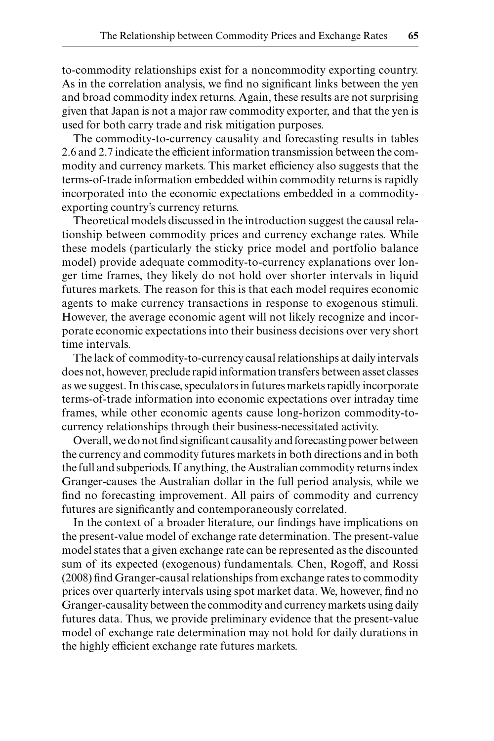to- commodity relationships exist for a noncommodity exporting country. As in the correlation analysis, we find no significant links between the yen and broad commodity index returns. Again, these results are not surprising given that Japan is not a major raw commodity exporter, and that the yen is used for both carry trade and risk mitigation purposes.

The commodity-to-currency causality and forecasting results in tables 2.6 and 2.7 indicate the efficient information transmission between the commodity and currency markets. This market efficiency also suggests that the terms- of- trade information embedded within commodity returns is rapidly incorporated into the economic expectations embedded in a commodity exporting country's currency returns.

Theoretical models discussed in the introduction suggest the causal relationship between commodity prices and currency exchange rates. While these models (particularly the sticky price model and portfolio balance model) provide adequate commodity-to-currency explanations over longer time frames, they likely do not hold over shorter intervals in liquid futures markets. The reason for this is that each model requires economic agents to make currency transactions in response to exogenous stimuli. However, the average economic agent will not likely recognize and incorporate economic expectations into their business decisions over very short time intervals.

The lack of commodity-to-currency causal relationships at daily intervals does not, however, preclude rapid information transfers between asset classes as we suggest. In this case, speculators in futures markets rapidly incorporate terms- of- trade information into economic expectations over intraday time frames, while other economic agents cause long-horizon commodity-tocurrency relationships through their business- necessitated activity.

Overall, we do not find significant causality and forecasting power between the currency and commodity futures markets in both directions and in both the full and subperiods. If anything, the Australian commodity returns index Granger- causes the Australian dollar in the full period analysis, while we find no forecasting improvement. All pairs of commodity and currency futures are significantly and contemporaneously correlated.

In the context of a broader literature, our findings have implications on the present-value model of exchange rate determination. The present-value model states that a given exchange rate can be represented as the discounted sum of its expected (exogenous) fundamentals. Chen, Rogoff, and Rossi (2008) find Granger-causal relationships from exchange rates to commodity prices over quarterly intervals using spot market data. We, however, find no Granger- causality between the commodity and currency markets using daily futures data. Thus, we provide preliminary evidence that the present-value model of exchange rate determination may not hold for daily durations in the highly efficient exchange rate futures markets.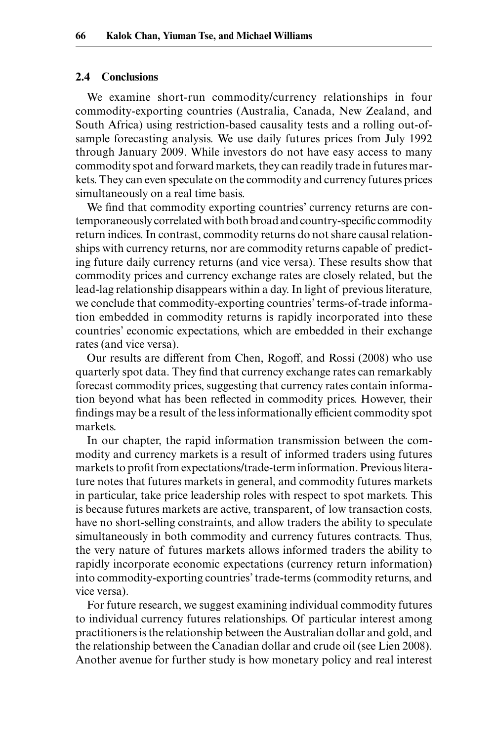#### **2.4 Conclusions**

We examine short-run commodity/currency relationships in four commodity-exporting countries (Australia, Canada, New Zealand, and South Africa) using restriction-based causality tests and a rolling out-of sample forecasting analysis. We use daily futures prices from July 1992 through January 2009. While investors do not have easy access to many commodity spot and forward markets, they can readily trade in futures markets. They can even speculate on the commodity and currency futures prices simultaneously on a real time basis.

We find that commodity exporting countries' currency returns are contemporaneously correlated with both broad and country-specific commodity return indices. In contrast, commodity returns do not share causal relationships with currency returns, nor are commodity returns capable of predicting future daily currency returns (and vice versa). These results show that commodity prices and currency exchange rates are closely related, but the lead- lag relationship disappears within a day. In light of previous literature, we conclude that commodity-exporting countries' terms-of-trade information embedded in commodity returns is rapidly incorporated into these countries' economic expectations, which are embedded in their exchange rates (and vice versa).

Our results are different from Chen, Rogoff, and Rossi (2008) who use quarterly spot data. They find that currency exchange rates can remarkably forecast commodity prices, suggesting that currency rates contain information beyond what has been reflected in commodity prices. However, their findings may be a result of the less informationally efficient commodity spot markets.

In our chapter, the rapid information transmission between the commodity and currency markets is a result of informed traders using futures markets to profit from expectations/trade-term information. Previous literature notes that futures markets in general, and commodity futures markets in particular, take price leadership roles with respect to spot markets. This is because futures markets are active, transparent, of low transaction costs, have no short-selling constraints, and allow traders the ability to speculate simultaneously in both commodity and currency futures contracts. Thus, the very nature of futures markets allows informed traders the ability to rapidly incorporate economic expectations (currency return information) into commodity-exporting countries' trade-terms (commodity returns, and vice versa).

For future research, we suggest examining individual commodity futures to individual currency futures relationships. Of particular interest among practitioners is the relationship between the Australian dollar and gold, and the relationship between the Canadian dollar and crude oil (see Lien 2008). Another avenue for further study is how monetary policy and real interest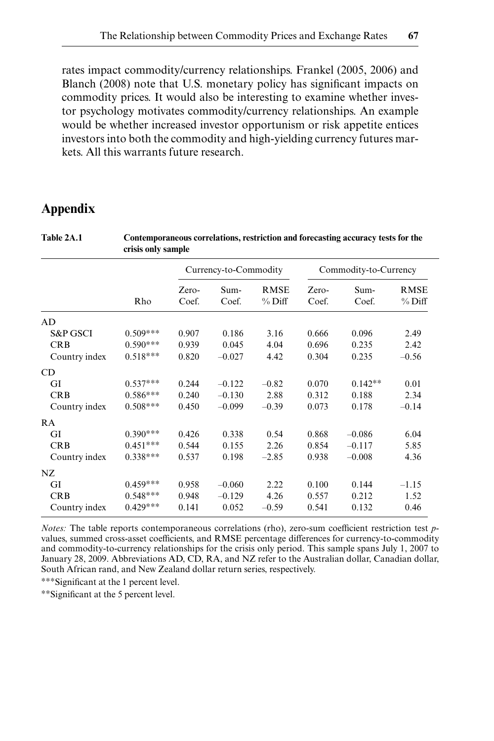rates impact commodity/currency relationships. Frankel (2005, 2006) and Blanch (2008) note that U.S. monetary policy has significant impacts on commodity prices. It would also be interesting to examine whether investor psychology motivates commodity/currency relationships. An example would be whether increased investor opportunism or risk appetite entices investors into both the commodity and high- yielding currency futures markets. All this warrants future research.

# **Appendix**

| Table 2A.1          | Contemporaneous correlations, restriction and forecasting accuracy tests for the<br>crisis only sample |       |                       |             |       |                       |             |  |
|---------------------|--------------------------------------------------------------------------------------------------------|-------|-----------------------|-------------|-------|-----------------------|-------------|--|
|                     |                                                                                                        |       | Currency-to-Commodity |             |       | Commodity-to-Currency |             |  |
|                     |                                                                                                        | Zero- | Sum-                  | <b>RMSE</b> | Zero- | Sum-                  | <b>RMSE</b> |  |
|                     | Rho                                                                                                    | Coef. | Coef.                 | $%$ Diff    | Coef. | Coef.                 | $%$ Diff    |  |
| AD                  |                                                                                                        |       |                       |             |       |                       |             |  |
| <b>S&amp;P GSCI</b> | $0.509***$                                                                                             | 0.907 | 0.186                 | 3.16        | 0.666 | 0.096                 | 2.49        |  |
| <b>CRB</b>          | $0.590***$                                                                                             | 0.939 | 0.045                 | 4.04        | 0.696 | 0.235                 | 2.42        |  |
| Country index       | $0.518***$                                                                                             | 0.820 | $-0.027$              | 4.42        | 0.304 | 0.235                 | $-0.56$     |  |
| CD                  |                                                                                                        |       |                       |             |       |                       |             |  |
| GI                  | $0.537***$                                                                                             | 0.244 | $-0.122$              | $-0.82$     | 0.070 | $0.142**$             | 0.01        |  |
| <b>CRB</b>          | $0.586***$                                                                                             | 0.240 | $-0.130$              | 2.88        | 0.312 | 0.188                 | 2.34        |  |
| Country index       | $0.508***$                                                                                             | 0.450 | $-0.099$              | $-0.39$     | 0.073 | 0.178                 | $-0.14$     |  |
| RA                  |                                                                                                        |       |                       |             |       |                       |             |  |
| GI                  | $0.390***$                                                                                             | 0.426 | 0.338                 | 0.54        | 0.868 | $-0.086$              | 6.04        |  |
| <b>CRB</b>          | $0.451***$                                                                                             | 0.544 | 0.155                 | 2.26        | 0.854 | $-0.117$              | 5.85        |  |
| Country index       | $0.338***$                                                                                             | 0.537 | 0.198                 | $-2.85$     | 0.938 | $-0.008$              | 4.36        |  |
| NZ.                 |                                                                                                        |       |                       |             |       |                       |             |  |
| GI                  | $0.459***$                                                                                             | 0.958 | $-0.060$              | 2.22        | 0.100 | 0.144                 | $-1.15$     |  |
| <b>CRB</b>          | $0.548***$                                                                                             | 0.948 | $-0.129$              | 4.26        | 0.557 | 0.212                 | 1.52        |  |
| Country index       | $0.429***$                                                                                             | 0.141 | 0.052                 | $-0.59$     | 0.541 | 0.132                 | 0.46        |  |

*Notes:* The table reports contemporaneous correlations (rho), zero-sum coefficient restriction test *p*values, summed cross- asset coefficients, and RMSE percentage differences for currency- to- commodity and commodity- to- currency relationships for the crisis only period. This sample spans July 1, 2007 to January 28, 2009. Abbreviations AD, CD, RA, and NZ refer to the Australian dollar, Canadian dollar, South African rand, and New Zealand dollar return series, respectively.

∗∗∗Signifi cant at the 1 percent level.

∗∗Signifi cant at the 5 percent level.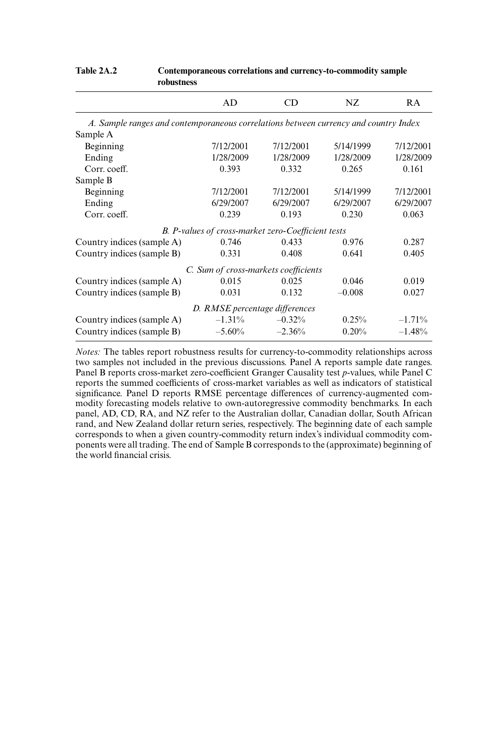|                                                                                      | AD                                                 | CD        | NZ        | RA        |
|--------------------------------------------------------------------------------------|----------------------------------------------------|-----------|-----------|-----------|
| A. Sample ranges and contemporaneous correlations between currency and country Index |                                                    |           |           |           |
| Sample A                                                                             |                                                    |           |           |           |
| Beginning                                                                            | 7/12/2001                                          | 7/12/2001 | 5/14/1999 | 7/12/2001 |
| Ending                                                                               | 1/28/2009                                          | 1/28/2009 | 1/28/2009 | 1/28/2009 |
| Corr. coeff.                                                                         | 0.393                                              | 0.332     | 0.265     | 0.161     |
| Sample B                                                                             |                                                    |           |           |           |
| Beginning                                                                            | 7/12/2001                                          | 7/12/2001 | 5/14/1999 | 7/12/2001 |
| Ending                                                                               | 6/29/2007                                          | 6/29/2007 | 6/29/2007 | 6/29/2007 |
| Corr. coeff.                                                                         | 0.239                                              | 0.193     | 0.230     | 0.063     |
|                                                                                      | B. P-values of cross-market zero-Coefficient tests |           |           |           |
| Country indices (sample A)                                                           | 0.746                                              | 0.433     | 0.976     | 0.287     |
| Country indices (sample B)                                                           | 0.331                                              | 0.408     | 0.641     | 0.405     |
|                                                                                      | C. Sum of cross-markets coefficients               |           |           |           |
| Country indices (sample A)                                                           | 0.015                                              | 0.025     | 0.046     | 0.019     |
| Country indices (sample B)                                                           | 0.031                                              | 0.132     | $-0.008$  | 0.027     |
|                                                                                      | D. RMSE percentage differences                     |           |           |           |
| Country indices (sample A)                                                           | $-1.31\%$                                          | $-0.32%$  | 0.25%     | $-1.71%$  |
| Country indices (sample B)                                                           | $-5.60\%$                                          | $-2.36%$  | 0.20%     | $-1.48%$  |

#### Table 2A.2 Contemporaneous correlations and currency-to-commodity sample **robustness**

*Notes:* The tables report robustness results for currency-to-commodity relationships across two samples not included in the previous discussions. Panel A reports sample date ranges. Panel B reports cross- market zero- coefficient Granger Causality test *p*- values, while Panel C reports the summed coefficients of cross- market variables as well as indicators of statistical significance. Panel D reports RMSE percentage differences of currency-augmented commodity forecasting models relative to own- autoregressive commodity benchmarks. In each panel, AD, CD, RA, and NZ refer to the Australian dollar, Canadian dollar, South African rand, and New Zealand dollar return series, respectively. The beginning date of each sample corresponds to when a given country- commodity return index's individual commodity components were all trading. The end of Sample B corresponds to the (approximate) beginning of the world financial crisis.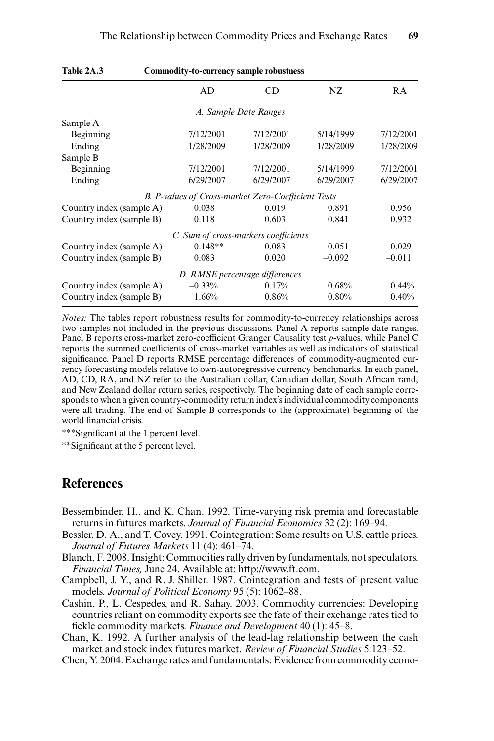Table 2A.3 Commodity-to-currency sample robustness

|                          | onmourcy to currency sumple robustness             |                                |           |           |  |  |  |
|--------------------------|----------------------------------------------------|--------------------------------|-----------|-----------|--|--|--|
|                          | AD                                                 | CD                             | NZ.       | RA        |  |  |  |
|                          |                                                    | A. Sample Date Ranges          |           |           |  |  |  |
| Sample A                 |                                                    |                                |           |           |  |  |  |
| Beginning                | 7/12/2001                                          | 7/12/2001                      | 5/14/1999 | 7/12/2001 |  |  |  |
| Ending                   | 1/28/2009                                          | 1/28/2009                      | 1/28/2009 | 1/28/2009 |  |  |  |
| Sample B                 |                                                    |                                |           |           |  |  |  |
| Beginning                | 7/12/2001                                          | 7/12/2001                      | 5/14/1999 | 7/12/2001 |  |  |  |
| Ending                   | 6/29/2007                                          | 6/29/2007                      | 6/29/2007 | 6/29/2007 |  |  |  |
|                          | B. P-values of Cross-market Zero-Coefficient Tests |                                |           |           |  |  |  |
| Country index (sample A) | 0.038                                              | 0.019                          | 0.891     | 0.956     |  |  |  |
| Country index (sample B) | 0.118                                              | 0.603                          | 0.841     | 0.932     |  |  |  |
|                          | C. Sum of cross-markets coefficients               |                                |           |           |  |  |  |
| Country index (sample A) | $0.148**$                                          | 0.083                          | $-0.051$  | 0.029     |  |  |  |
| Country index (sample B) | 0.083                                              | 0.020                          | $-0.092$  | $-0.011$  |  |  |  |
|                          |                                                    | D. RMSE percentage differences |           |           |  |  |  |
| Country index (sample A) | $-0.33%$                                           | 0.17%                          | 0.68%     | $0.44\%$  |  |  |  |
| Country index (sample B) | 1.66%                                              | 0.86%                          | 0.80%     | 0.40%     |  |  |  |
|                          |                                                    |                                |           |           |  |  |  |

*Notes:* The tables report robustness results for commodity-to-currency relationships across two samples not included in the previous discussions. Panel A reports sample date ranges. Panel B reports cross- market zero- coefficient Granger Causality test *p*- values, while Panel C reports the summed coefficients of cross- market variables as well as indicators of statistical significance. Panel D reports RMSE percentage differences of commodity-augmented currency forecasting models relative to own- autoregressive currency benchmarks. In each panel, AD, CD, RA, and NZ refer to the Australian dollar, Canadian dollar, South African rand, and New Zealand dollar return series, respectively. The beginning date of each sample corresponds to when a given country- commodity return index's individual commodity components were all trading. The end of Sample B corresponds to the (approximate) beginning of the world financial crisis.

∗∗∗Signifi cant at the 1 percent level.

∗∗Signifi cant at the 5 percent level.

# **References**

- Bessembinder, H., and K. Chan. 1992. Time- varying risk premia and forecastable returns in futures markets. *Journal of Financial Economics* 32 (2): 169–94.
- Bessler, D. A., and T. Covey. 1991. Cointegration: Some results on U.S. cattle prices. *Journal of Futures Markets* 11 (4): 461–74.
- Blanch, F. 2008. Insight: Commodities rally driven by fundamentals, not speculators. *Financial Times,* June 24. Available at: http://www.ft.com.
- Campbell, J. Y., and R. J. Shiller. 1987. Cointegration and tests of present value models. *Journal of Political Economy* 95 (5): 1062–88.
- Cashin, P., L. Cespedes, and R. Sahay. 2003. Commodity currencies: Developing countries reliant on commodity exports see the fate of their exchange rates tied to fickle commodity markets. *Finance and Development* 40 (1): 45–8.

Chan, K. 1992. A further analysis of the lead- lag relationship between the cash market and stock index futures market. *Review of Financial Studies* 5:123–52.

Chen, Y. 2004. Exchange rates and fundamentals: Evidence from commodity econo-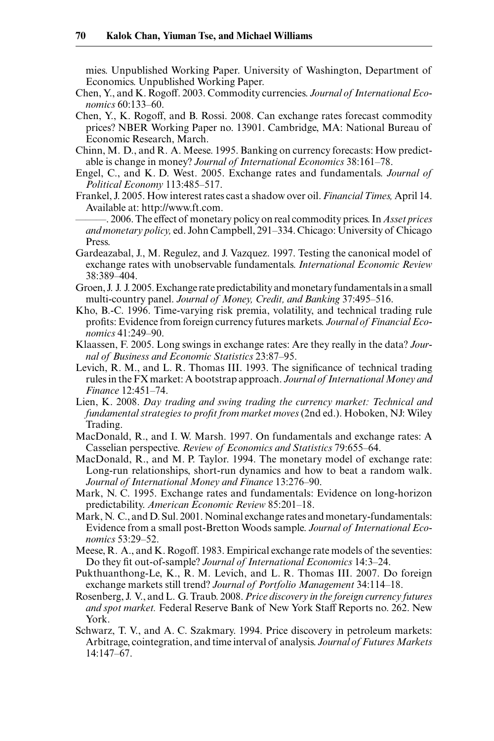mies. Unpublished Working Paper. University of Washington, Department of Economics. Unpublished Working Paper.

- Chen, Y., and K. Rogoff. 2003. Commodity currencies. *Journal of International Economics* 60:133–60.
- Chen, Y., K. Rogoff, and B. Rossi. 2008. Can exchange rates forecast commodity prices? NBER Working Paper no. 13901. Cambridge, MA: National Bureau of Economic Research, March.
- Chinn, M. D., and R. A. Meese. 1995. Banking on currency forecasts: How predictable is change in money? *Journal of International Economics* 38:161–78.
- Engel, C., and K. D. West. 2005. Exchange rates and fundamentals. *Journal of Political Economy* 113:485–517.
- Frankel, J. 2005. How interest rates cast a shadow over oil. *Financial Times,* April 14. Available at: http://www.ft.com.

———. 2006. The effect of monetary policy on real commodity prices. In *Asset prices and monetary policy,* ed. John Campbell, 291–334. Chicago: University of Chicago Press.

- Gardeazabal, J., M. Regulez, and J. Vazquez. 1997. Testing the canonical model of exchange rates with unobservable fundamentals. *International Economic Review* 38:389–404.
- Groen, J. J. J. 2005. Exchange rate predictability and monetary fundamentals in a small multi- country panel. *Journal of Money, Credit, and Banking* 37:495–516.
- Kho, B.-C. 1996. Time-varying risk premia, volatility, and technical trading rule profits: Evidence from foreign currency futures markets. Journal of Financial Eco*nomics* 41:249–90.
- Klaassen, F. 2005. Long swings in exchange rates: Are they really in the data? *Journal of Business and Economic Statistics* 23:87–95.
- Levich, R. M., and L. R. Thomas III. 1993. The significance of technical trading rules in the FX market: A bootstrap approach. *Journal of International Money and Finance* 12:451–74.
- Lien, K. 2008. *Day trading and swing trading the currency market: Technical and fundamental strategies to profi t from market moves* (2nd ed.). Hoboken, NJ: Wiley Trading.
- MacDonald, R., and I. W. Marsh. 1997. On fundamentals and exchange rates: A Casselian perspective. *Review of Economics and Statistics* 79:655–64.
- MacDonald, R., and M. P. Taylor. 1994. The monetary model of exchange rate: Long-run relationships, short-run dynamics and how to beat a random walk. *Journal of International Money and Finance* 13:276–90.
- Mark, N. C. 1995. Exchange rates and fundamentals: Evidence on long-horizon predictability. *American Economic Review* 85:201–18.
- Mark, N. C., and D. Sul. 2001. Nominal exchange rates and monetary-fundamentals: Evidence from a small post- Bretton Woods sample. *Journal of International Economics* 53:29–52.
- Meese, R. A., and K. Rogoff. 1983. Empirical exchange rate models of the seventies: Do they fit out-of-sample? *Journal of International Economics* 14:3–24.
- Pukthuanthong-Le, K., R. M. Levich, and L. R. Thomas III. 2007. Do foreign exchange markets still trend? *Journal of Portfolio Management* 34:114–18.
- Rosenberg, J. V., and L. G. Traub. 2008. *Price discovery in the foreign currency futures and spot market.* Federal Reserve Bank of New York Staff Reports no. 262. New York.
- Schwarz, T. V., and A. C. Szakmary. 1994. Price discovery in petroleum markets: Arbitrage, cointegration, and time interval of analysis. *Journal of Futures Markets* 14:147–67.